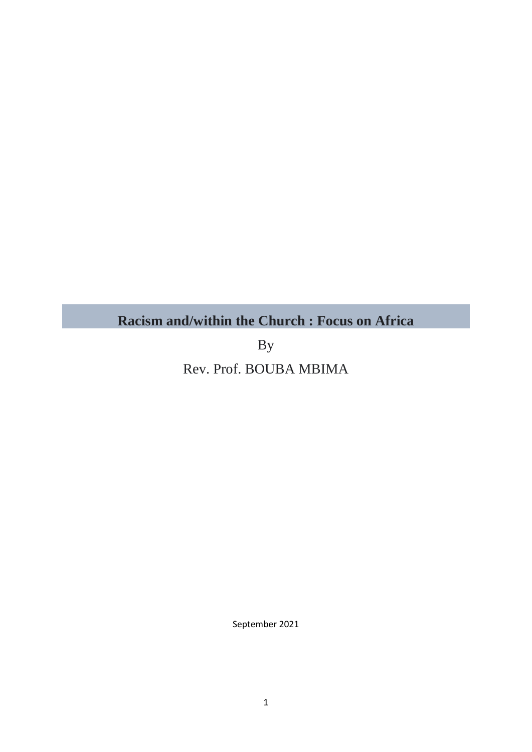**Racism and/within the Church : Focus on Africa**

By

Rev. Prof. BOUBA MBIMA

September 2021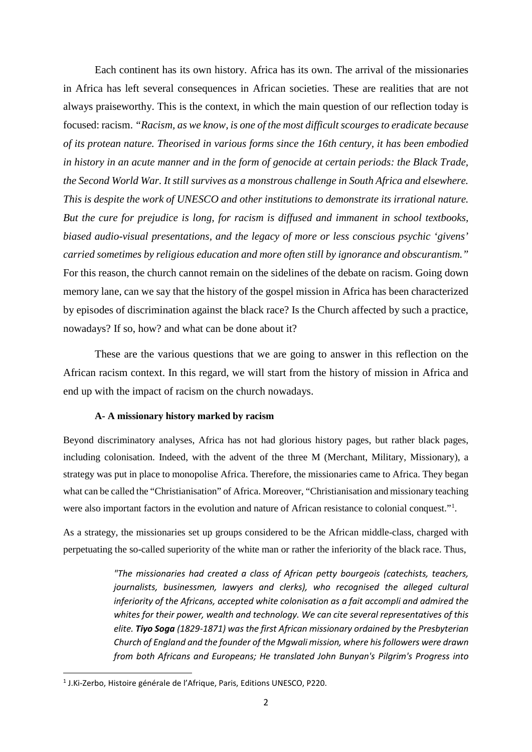Each continent has its own history. Africa has its own. The arrival of the missionaries in Africa has left several consequences in African societies. These are realities that are not always praiseworthy. This is the context, in which the main question of our reflection today is focused: racism. *"Racism, as we know, is one of the most difficult scourges to eradicate because of its protean nature. Theorised in various forms since the 16th century, it has been embodied in history in an acute manner and in the form of genocide at certain periods: the Black Trade, the Second World War. It still survives as a monstrous challenge in South Africa and elsewhere. This is despite the work of UNESCO and other institutions to demonstrate its irrational nature. But the cure for prejudice is long, for racism is diffused and immanent in school textbooks, biased audio-visual presentations, and the legacy of more or less conscious psychic 'givens' carried sometimes by religious education and more often still by ignorance and obscurantism."* For this reason, the church cannot remain on the sidelines of the debate on racism. Going down memory lane, can we say that the history of the gospel mission in Africa has been characterized by episodes of discrimination against the black race? Is the Church affected by such a practice, nowadays? If so, how? and what can be done about it?

These are the various questions that we are going to answer in this reflection on the African racism context. In this regard, we will start from the history of mission in Africa and end up with the impact of racism on the church nowadays.

## **A- A missionary history marked by racism**

Beyond discriminatory analyses, Africa has not had glorious history pages, but rather black pages, including colonisation. Indeed, with the advent of the three M (Merchant, Military, Missionary), a strategy was put in place to monopolise Africa. Therefore, the missionaries came to Africa. They began what can be called the "Christianisation" of Africa. Moreover, "Christianisation and missionary teaching were also important factors in the evolution and nature of African resistance to colonial conquest."<sup>1</sup>.

As a strategy, the missionaries set up groups considered to be the African middle-class, charged with perpetuating the so-called superiority of the white man or rather the inferiority of the black race. Thus,

> *"The missionaries had created a class of African petty bourgeois (catechists, teachers, journalists, businessmen, lawyers and clerks), who recognised the alleged cultural inferiority of the Africans, accepted white colonisation as a fait accompli and admired the whites for their power, wealth and technology. We can cite several representatives of this elite. Tiyo Soga (1829-1871) was the first African missionary ordained by the Presbyterian Church of England and the founder of the Mgwali mission, where his followers were drawn from both Africans and Europeans; He translated John Bunyan's Pilgrim's Progress into*

<span id="page-1-0"></span> <sup>1</sup> J.Ki-Zerbo, Histoire générale de l'Afrique, Paris, Editions UNESCO, P220.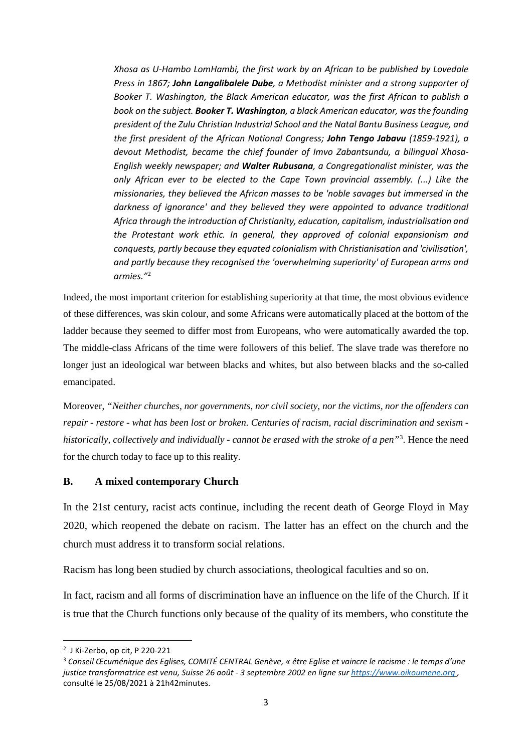*Xhosa as U-Hambo LomHambi, the first work by an African to be published by Lovedale Press in 1867; John Langalibalele Dube, a Methodist minister and a strong supporter of Booker T. Washington, the Black American educator, was the first African to publish a book on the subject. Booker T. Washington, a black American educator, was the founding president of the Zulu Christian Industrial School and the Natal Bantu Business League, and the first president of the African National Congress; John Tengo Jabavu (1859-1921), a devout Methodist, became the chief founder of Imvo Zabantsundu, a bilingual Xhosa-English weekly newspaper; and Walter Rubusana, a Congregationalist minister, was the only African ever to be elected to the Cape Town provincial assembly. (...) Like the missionaries, they believed the African masses to be 'noble savages but immersed in the*  darkness of ignorance' and they believed they were appointed to advance traditional *Africa through the introduction of Christianity, education, capitalism, industrialisation and the Protestant work ethic. In general, they approved of colonial expansionism and conquests, partly because they equated colonialism with Christianisation and 'civilisation', and partly because they recognised the 'overwhelming superiority' of European arms and armies."*[2](#page-2-0)

Indeed, the most important criterion for establishing superiority at that time, the most obvious evidence of these differences, was skin colour, and some Africans were automatically placed at the bottom of the ladder because they seemed to differ most from Europeans, who were automatically awarded the top. The middle-class Africans of the time were followers of this belief. The slave trade was therefore no longer just an ideological war between blacks and whites, but also between blacks and the so-called emancipated.

Moreover, *"Neither churches, nor governments, nor civil society, nor the victims, nor the offenders can repair - restore - what has been lost or broken. Centuries of racism, racial discrimination and sexism historically, collectively and individually - cannot be erased with the stroke of a pen"*[3](#page-2-1) . Hence the need for the church today to face up to this reality.

## **B. A mixed contemporary Church**

In the 21st century, racist acts continue, including the recent death of George Floyd in May 2020, which reopened the debate on racism. The latter has an effect on the church and the church must address it to transform social relations.

Racism has long been studied by church associations, theological faculties and so on.

In fact, racism and all forms of discrimination have an influence on the life of the Church. If it is true that the Church functions only because of the quality of its members, who constitute the

 $\overline{2}$  $2$  J Ki-Zerbo, op cit, P 220-221

<span id="page-2-1"></span><span id="page-2-0"></span><sup>3</sup> *Conseil Œcuménique des Eglises, COMITÉ CENTRAL Genève, « être Eglise et vaincre le racisme : le temps d'une justice transformatrice est venu, Suisse 26 août - 3 septembre 2002 en ligne sur https://www.oikoumene.org ,*  consulté le 25/08/2021 à 21h42minutes.